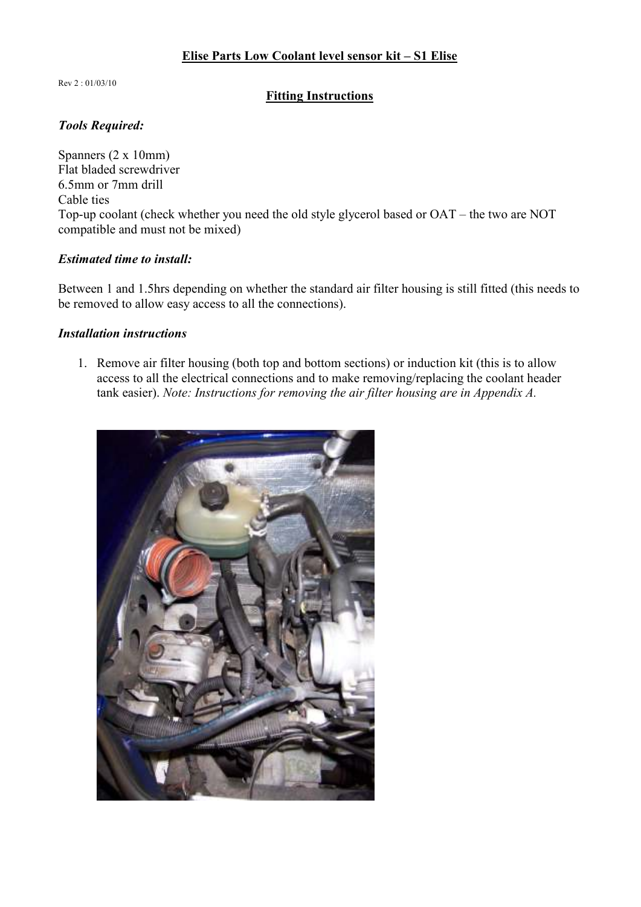Rev 2 : 01/03/10

## **Fitting Instructions**

# *Tools Required:*

Spanners (2 x 10mm) Flat bladed screwdriver 6.5mm or 7mm drill Cable ties Top-up coolant (check whether you need the old style glycerol based or OAT – the two are NOT compatible and must not be mixed)

#### *Estimated time to install:*

Between 1 and 1.5hrs depending on whether the standard air filter housing is still fitted (this needs to be removed to allow easy access to all the connections).

## *Installation instructions*

1. Remove air filter housing (both top and bottom sections) or induction kit (this is to allow access to all the electrical connections and to make removing/replacing the coolant header tank easier). *Note: Instructions for removing the air filter housing are in Appendix A.*

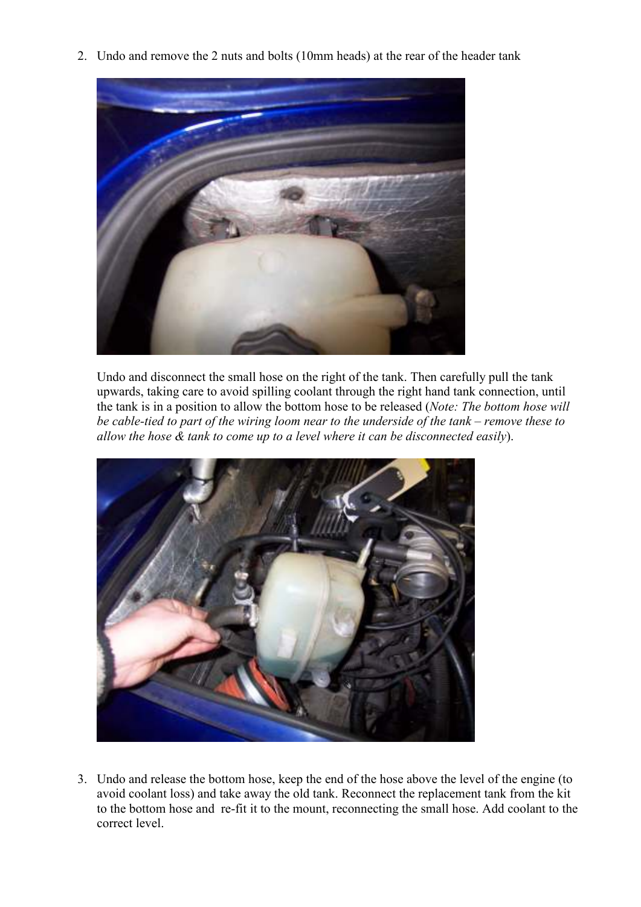2. Undo and remove the 2 nuts and bolts (10mm heads) at the rear of the header tank



Undo and disconnect the small hose on the right of the tank. Then carefully pull the tank upwards, taking care to avoid spilling coolant through the right hand tank connection, until the tank is in a position to allow the bottom hose to be released (*Note: The bottom hose will be cable-tied to part of the wiring loom near to the underside of the tank – remove these to allow the hose & tank to come up to a level where it can be disconnected easily*).



3. Undo and release the bottom hose, keep the end of the hose above the level of the engine (to avoid coolant loss) and take away the old tank. Reconnect the replacement tank from the kit to the bottom hose and re-fit it to the mount, reconnecting the small hose. Add coolant to the correct level.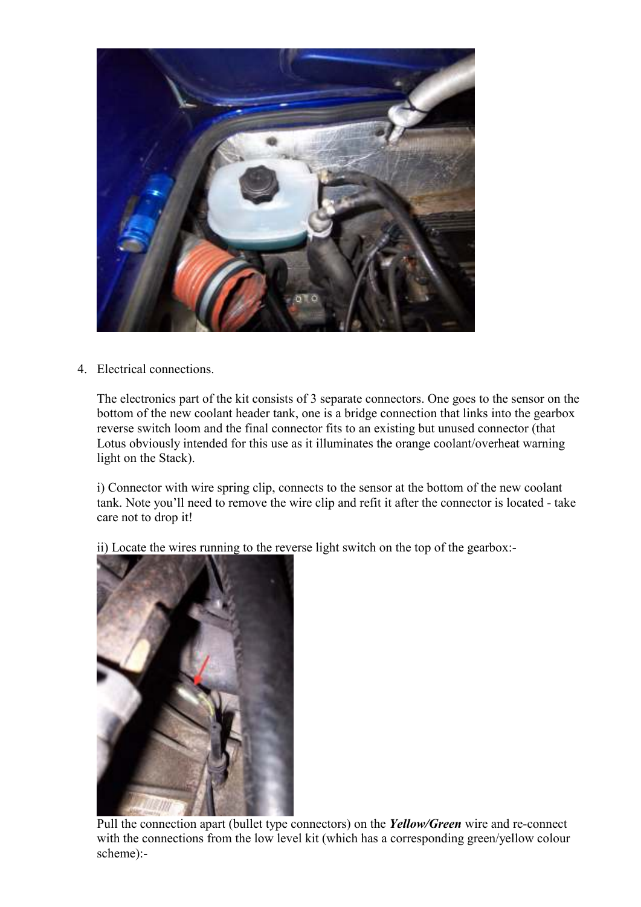

4. Electrical connections.

The electronics part of the kit consists of 3 separate connectors. One goes to the sensor on the bottom of the new coolant header tank, one is a bridge connection that links into the gearbox reverse switch loom and the final connector fits to an existing but unused connector (that Lotus obviously intended for this use as it illuminates the orange coolant/overheat warning light on the Stack).

i) Connector with wire spring clip, connects to the sensor at the bottom of the new coolant tank. Note you'll need to remove the wire clip and refit it after the connector is located - take care not to drop it!

ii) Locate the wires running to the reverse light switch on the top of the gearbox:-



Pull the connection apart (bullet type connectors) on the *Yellow/Green* wire and re-connect with the connections from the low level kit (which has a corresponding green/yellow colour scheme):-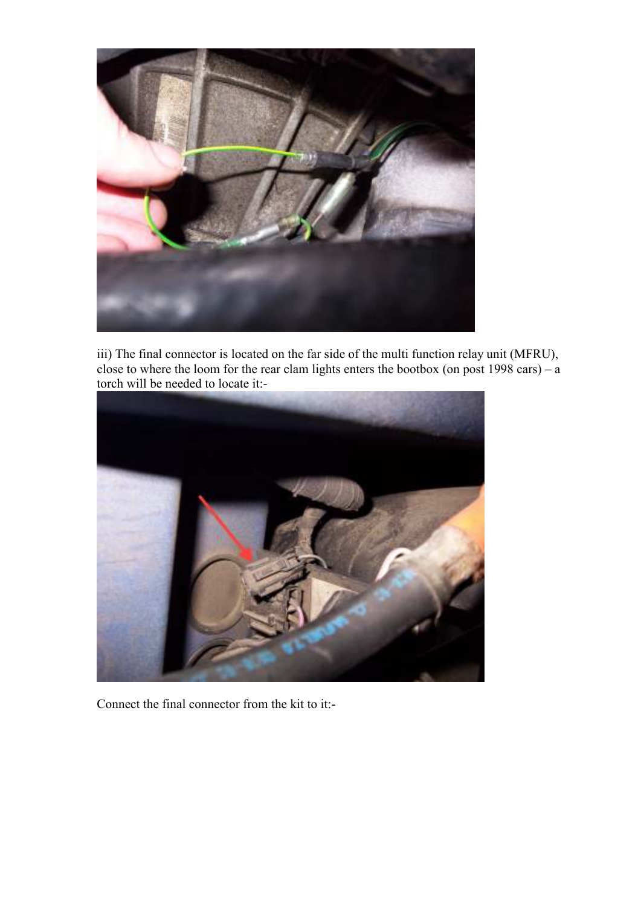

iii) The final connector is located on the far side of the multi function relay unit (MFRU), close to where the loom for the rear clam lights enters the bootbox (on post 1998 cars) – a torch will be needed to locate it:-



Connect the final connector from the kit to it:-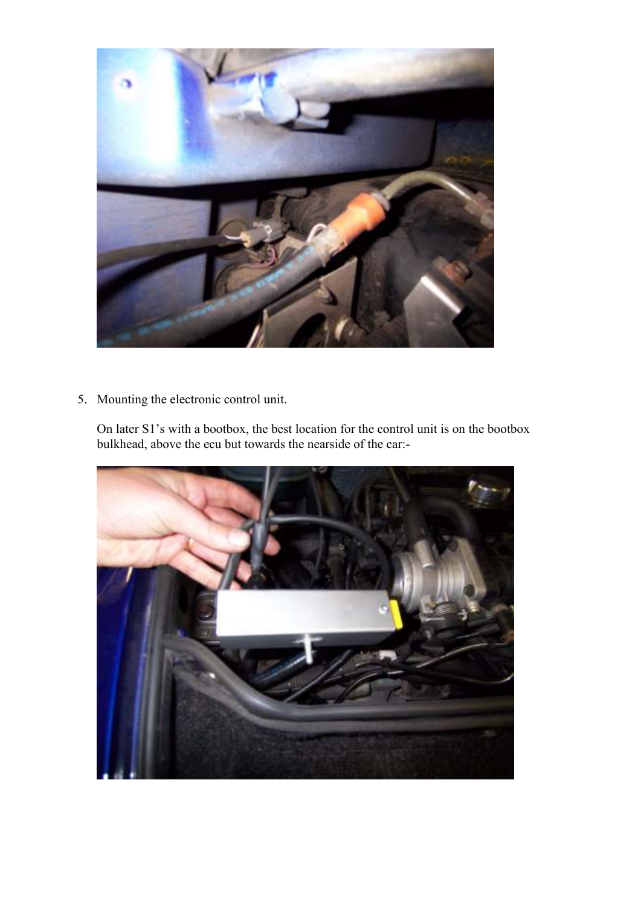

5. Mounting the electronic control unit.

On later S1's with a bootbox, the best location for the control unit is on the bootbox bulkhead, above the ecu but towards the nearside of the car:-

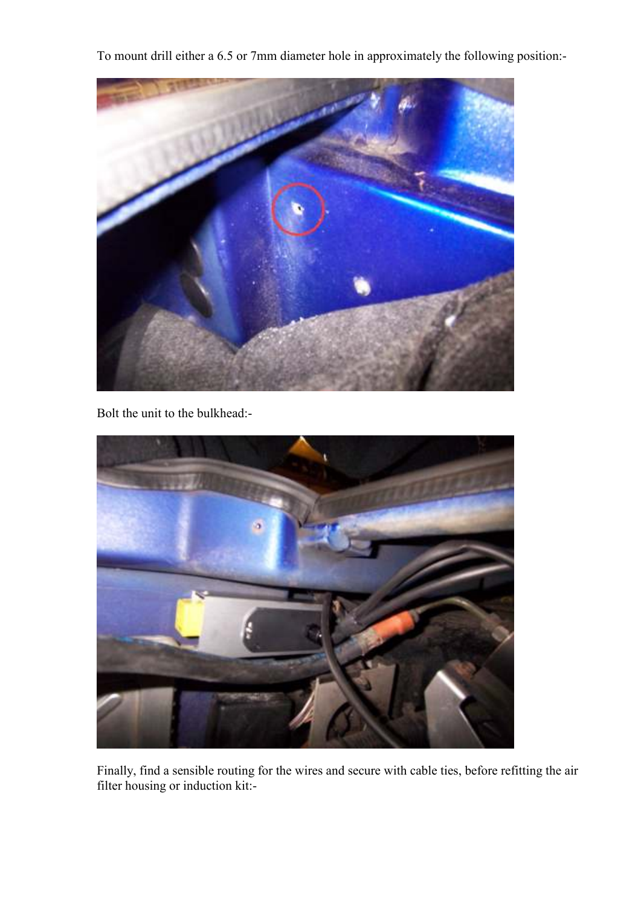To mount drill either a 6.5 or 7mm diameter hole in approximately the following position:-



Bolt the unit to the bulkhead:-



Finally, find a sensible routing for the wires and secure with cable ties, before refitting the air filter housing or induction kit:-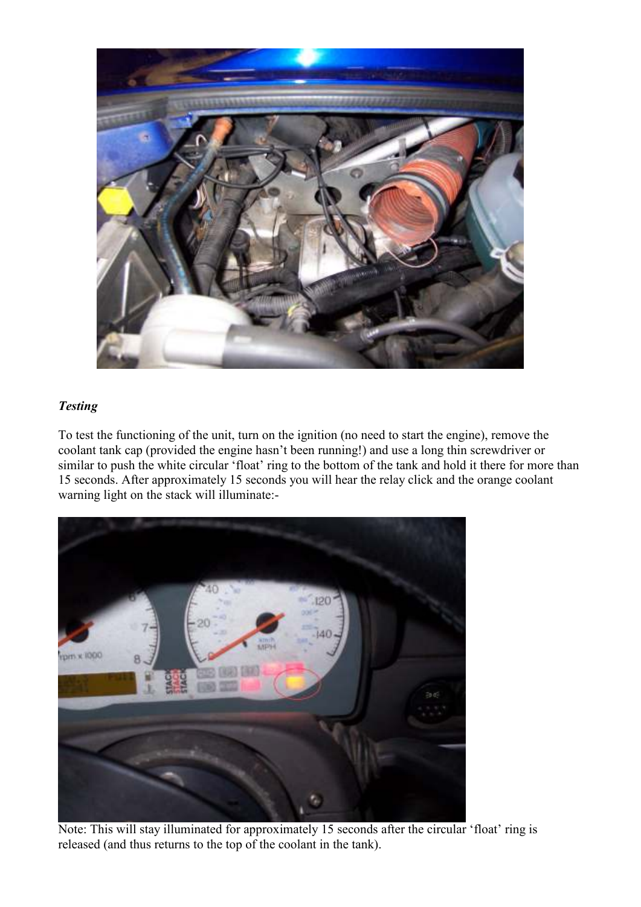

# *Testing*

To test the functioning of the unit, turn on the ignition (no need to start the engine), remove the coolant tank cap (provided the engine hasn't been running!) and use a long thin screwdriver or similar to push the white circular 'float' ring to the bottom of the tank and hold it there for more than 15 seconds. After approximately 15 seconds you will hear the relay click and the orange coolant warning light on the stack will illuminate:-



Note: This will stay illuminated for approximately 15 seconds after the circular 'float' ring is released (and thus returns to the top of the coolant in the tank).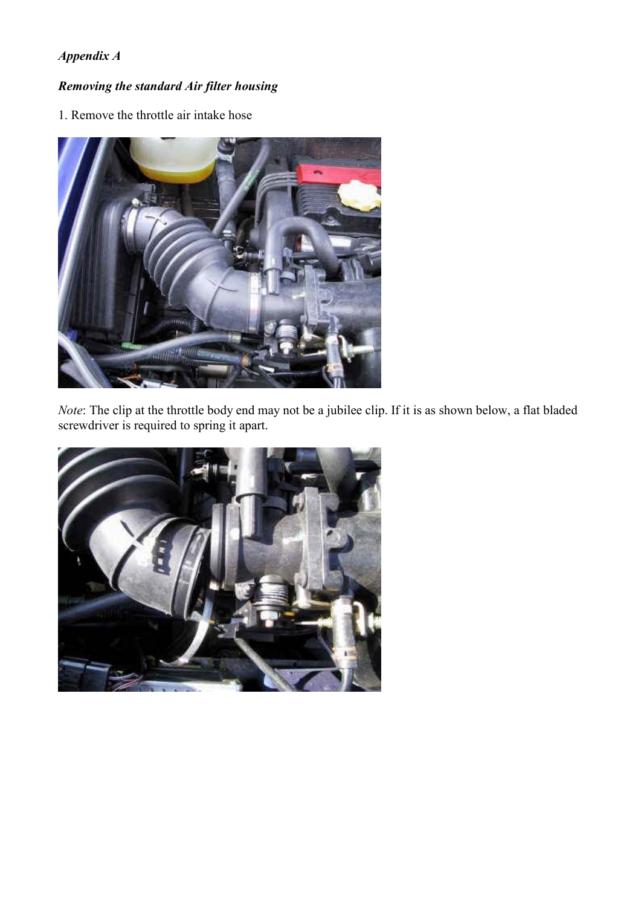# *Appendix A*

# *Removing the standard Air filter housing*

1. Remove the throttle air intake hose



*Note*: The clip at the throttle body end may not be a jubilee clip. If it is as shown below, a flat bladed screwdriver is required to spring it apart.

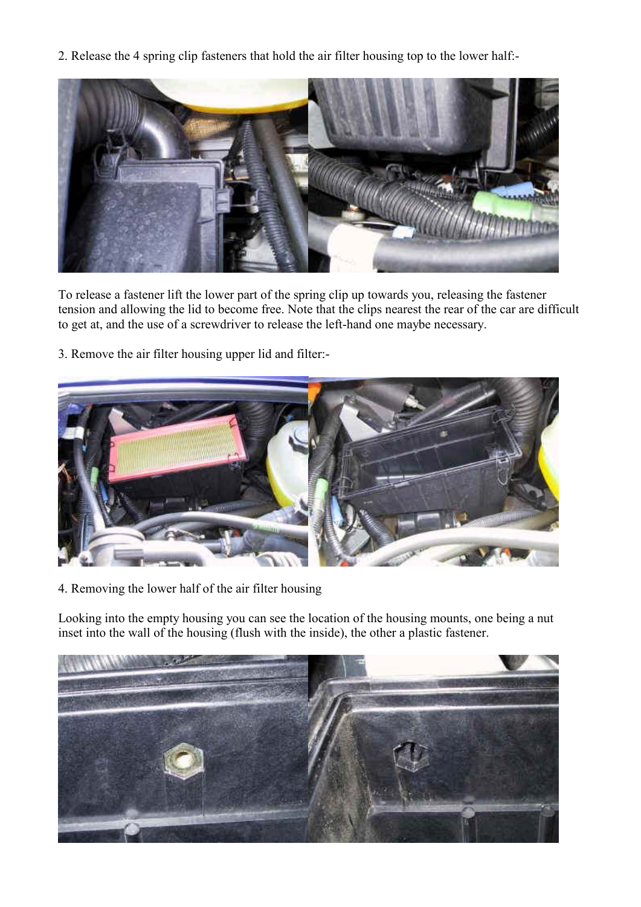2. Release the 4 spring clip fasteners that hold the air filter housing top to the lower half:-



To release a fastener lift the lower part of the spring clip up towards you, releasing the fastener tension and allowing the lid to become free. Note that the clips nearest the rear of the car are difficult to get at, and the use of a screwdriver to release the left-hand one maybe necessary.

3. Remove the air filter housing upper lid and filter:-



4. Removing the lower half of the air filter housing

Looking into the empty housing you can see the location of the housing mounts, one being a nut inset into the wall of the housing (flush with the inside), the other a plastic fastener.